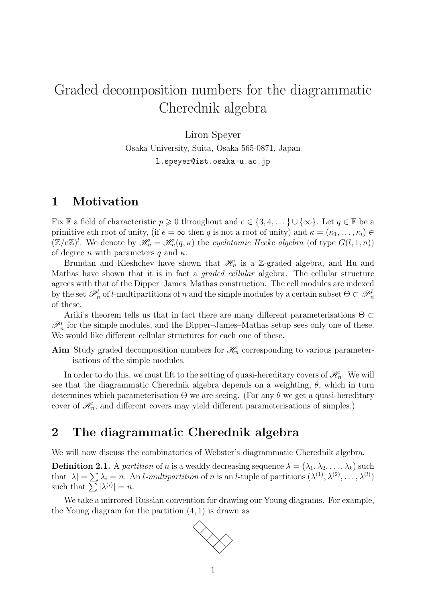## Graded decomposition numbers for the diagrammatic Cherednik algebra

Liron Speyer

Osaka University, Suita, Osaka 565-0871, Japan

l.speyer@ist.osaka-u.ac.jp

## 1 Motivation

Fix F a field of characteristic  $p \geq 0$  throughout and  $e \in \{3, 4, \dots\} \cup \{\infty\}$ . Let  $q \in \mathbb{F}$  be a primitive eth root of unity, (if  $e = \infty$  then q is not a root of unity) and  $\kappa = (\kappa_1, \ldots, \kappa_l) \in$  $(\mathbb{Z}/e\mathbb{Z})^l$ . We denote by  $\mathscr{H}_n = \mathscr{H}_n(q,\kappa)$  the cyclotomic Hecke algebra (of type  $G(l,1,n)$ ) of degree *n* with parameters q and  $\kappa$ .

Brundan and Kleshchev have shown that  $\mathcal{H}_n$  is a Z-graded algebra, and Hu and Mathas have shown that it is in fact a graded cellular algebra. The cellular structure agrees with that of the Dipper–James–Mathas construction. The cell modules are indexed by the set  $\mathscr{P}_n^l$  of *l*-multipartitions of n and the simple modules by a certain subset  $\Theta \subset \mathscr{P}_n^l$ of these.

Ariki's theorem tells us that in fact there are many different parameterisations  $\Theta \subset$  $\mathscr{P}_n^l$  for the simple modules, and the Dipper–James–Mathas setup sees only one of these. We would like different cellular structures for each one of these.

Aim Study graded decomposition numbers for  $\mathcal{H}_n$  corresponding to various parameterisations of the simple modules.

In order to do this, we must lift to the setting of quasi-hereditary covers of  $\mathcal{H}_n$ . We will see that the diagrammatic Cherednik algebra depends on a weighting,  $\theta$ , which in turn determines which parameterisation  $\Theta$  we are seeing. (For any  $\theta$  we get a quasi-hereditary cover of  $\mathcal{H}_n$ , and different covers may yield different parameterisations of simples.)

## 2 The diagrammatic Cherednik algebra

We will now discuss the combinatorics of Webster's diagrammatic Cherednik algebra.

**Definition 2.1.** A partition of n is a weakly decreasing sequence  $\lambda = (\lambda_1, \lambda_2, \dots, \lambda_k)$  such that  $|\lambda| = \sum \lambda_i = n$ . An *l*-multipartition of n is an *l*-tuple of partitions  $(\lambda^{(1)}, \lambda^{(2)}, \dots, \lambda^{(l)})$ such that  $\sum |\lambda^{(i)}| = n$ .

We take a mirrored-Russian convention for drawing our Young diagrams. For example, the Young diagram for the partition (4, 1) is drawn as

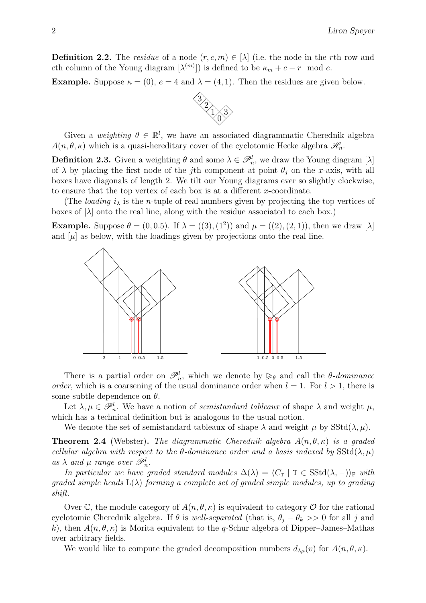**Definition 2.2.** The residue of a node  $(r, c, m) \in [\lambda]$  (i.e. the node in the rth row and cth column of the Young diagram  $[\lambda^{(m)}]$  is defined to be  $\kappa_m + c - r$  mod e.

**Example.** Suppose  $\kappa = (0)$ ,  $e = 4$  and  $\lambda = (4, 1)$ . Then the residues are given below.



Given a weighting  $\theta \in \mathbb{R}^l$ , we have an associated diagrammatic Cherednik algebra  $A(n, \theta, \kappa)$  which is a quasi-hereditary cover of the cyclotomic Hecke algebra  $\mathscr{H}_n$ .

**Definition 2.3.** Given a weighting  $\theta$  and some  $\lambda \in \mathcal{P}_n^l$ , we draw the Young diagram [ $\lambda$ ] of  $\lambda$  by placing the first node of the j<sup>th</sup> component at point  $\theta_j$  on the x-axis, with all boxes have diagonals of length 2. We tilt our Young diagrams ever so slightly clockwise, to ensure that the top vertex of each box is at a different x-coordinate.

(The *loading*  $i_{\lambda}$  is the *n*-tuple of real numbers given by projecting the top vertices of boxes of  $[\lambda]$  onto the real line, along with the residue associated to each box.)

**Example.** Suppose  $\theta = (0, 0.5)$ . If  $\lambda = ((3), (1^2))$  and  $\mu = ((2), (2, 1))$ , then we draw [ $\lambda$ ] and  $[\mu]$  as below, with the loadings given by projections onto the real line.



There is a partial order on  $\mathscr{P}_n^l$ , which we denote by  $\geq_{\theta}$  and call the  $\theta$ -dominance<br>or which is a coargaing of the usual dominance order when  $l = 1$ . For  $l > 1$ , there is order, which is a coarsening of the usual dominance order when  $l = 1$ . For  $l > 1$ , there is some subtle dependence on  $\theta$ .

Let  $\lambda, \mu \in \mathscr{P}_n^l$ . We have a notion of *semistandard tableaux* of shape  $\lambda$  and weight  $\mu$ , which has a technical definition but is analogous to the usual notion.

We denote the set of semistandard tableaux of shape  $\lambda$  and weight  $\mu$  by SStd( $\lambda, \mu$ ).

**Theorem 2.4** (Webster). The diagrammatic Cherednik algebra  $A(n, \theta, \kappa)$  is a graded cellular algebra with respect to the  $\theta$ -dominance order and a basis indexed by SStd( $\lambda, \mu$ ) as  $\lambda$  and  $\mu$  range over  $\mathscr{P}_n^l$ .

In particular we have graded standard modules  $\Delta(\lambda) = \langle C_\mathbf{T} | T \in SStd(\lambda, -)\rangle_{\mathbb{F}}$  with qraded simple heads  $L(\lambda)$  forming a complete set of graded simple modules, up to grading shift.

Over C, the module category of  $A(n, \theta, \kappa)$  is equivalent to category O for the rational cyclotomic Cherednik algebra. If  $\theta$  is well-separated (that is,  $\theta_i - \theta_k >> 0$  for all j and k), then  $A(n, \theta, \kappa)$  is Morita equivalent to the q-Schur algebra of Dipper–James–Mathas over arbitrary fields.

We would like to compute the graded decomposition numbers  $d_{\lambda\mu}(v)$  for  $A(n,\theta,\kappa)$ .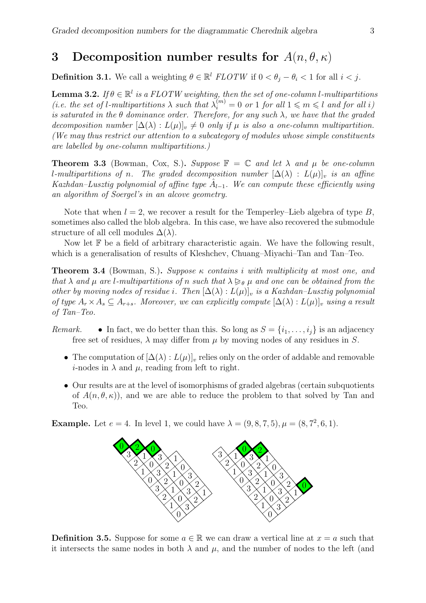## 3 Decomposition number results for  $A(n, \theta, \kappa)$

**Definition 3.1.** We call a weighting  $\theta \in \mathbb{R}^l$  FLOTW if  $0 < \theta_j - \theta_i < 1$  for all  $i < j$ .

**Lemma 3.2.** If  $\theta \in \mathbb{R}^l$  is a FLOTW weighting, then the set of one-column l-multipartitions (i.e. the set of l-multipartitions  $\lambda$  such that  $\lambda_i^{(m)} = 0$  or 1 for all  $1 \leq m \leq l$  and for all i) is saturated in the  $\theta$  dominance order. Therefore, for any such  $\lambda$ , we have that the graded decomposition number  $[\Delta(\lambda): L(\mu)]_v \neq 0$  only if  $\mu$  is also a one-column multipartition. (We may thus restrict our attention to a subcategory of modules whose simple constituents are labelled by one-column multipartitions.)

**Theorem 3.3** (Bowman, Cox, S.). Suppose  $\mathbb{F} = \mathbb{C}$  and let  $\lambda$  and  $\mu$  be one-column l-multipartitions of n. The graded decomposition number  $[\Delta(\lambda) : L(\mu)]$ , is an affine Kazhdan–Lusztig polynomial of affine type  $A_{l-1}$ . We can compute these efficiently using an algorithm of Soergel's in an alcove geometry.

Note that when  $l = 2$ , we recover a result for the Temperley–Lieb algebra of type B, sometimes also called the blob algebra. In this case, we have also recovered the submodule structure of all cell modules  $\Delta(\lambda)$ .

Now let  $\mathbb F$  be a field of arbitrary characteristic again. We have the following result, which is a generalisation of results of Kleshchev, Chuang–Miyachi–Tan and Tan–Teo.

**Theorem 3.4** (Bowman, S.). Suppose  $\kappa$  contains i with multiplicity at most one, and that  $\lambda$  and  $\mu$  are l-multipartitions of n such that  $\lambda \geq_{\theta} \mu$  and one can be obtained from the other by moving nodes of residue i. Then  $[\Delta(\lambda):L(\mu)]_v$  is a Kazhdan–Lusztig polynomial of type  $A_r \times A_s \subseteq A_{r+s}$ . Moreover, we can explicitly compute  $[\Delta(\lambda): L(\mu)]_v$  using a result of Tan–Teo.

- Remark. In fact, we do better than this. So long as  $S = \{i_1, \ldots, i_j\}$  is an adjacency free set of residues,  $\lambda$  may differ from  $\mu$  by moving nodes of any residues in S.
	- The computation of  $[\Delta(\lambda): L(\mu)]_v$  relies only on the order of addable and removable *i*-nodes in  $\lambda$  and  $\mu$ , reading from left to right.
	- Our results are at the level of isomorphisms of graded algebras (certain subquotients of  $A(n, \theta, \kappa)$ , and we are able to reduce the problem to that solved by Tan and Teo.

**Example.** Let  $e = 4$ . In level 1, we could have  $\lambda = (9, 8, 7, 5), \mu = (8, 7^2, 6, 1)$ .



**Definition 3.5.** Suppose for some  $a \in \mathbb{R}$  we can draw a vertical line at  $x = a$  such that it intersects the same nodes in both  $\lambda$  and  $\mu$ , and the number of nodes to the left (and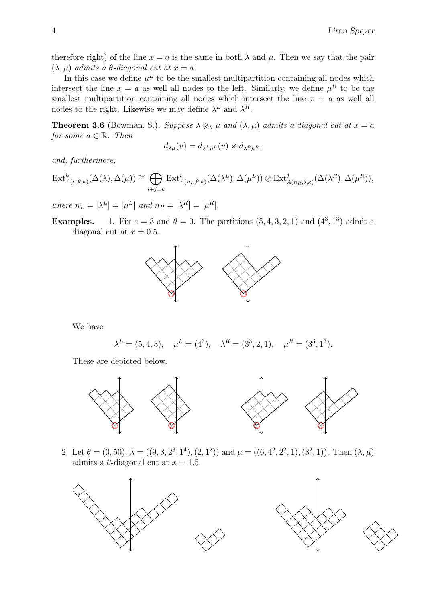therefore right) of the line  $x = a$  is the same in both  $\lambda$  and  $\mu$ . Then we say that the pair  $(\lambda, \mu)$  admits a  $\theta$ -diagonal cut at  $x = a$ .

In this case we define  $\mu^L$  to be the smallest multipartition containing all nodes which intersect the line  $x = a$  as well all nodes to the left. Similarly, we define  $\mu^R$  to be the smallest multipartition containing all nodes which intersect the line  $x = a$  as well all nodes to the right. Likewise we may define  $\lambda^L$  and  $\lambda^R$ .

**Theorem 3.6** (Bowman, S.). Suppose  $\lambda \geq_{\theta} \mu$  and  $(\lambda, \mu)$  admits a diagonal cut at  $x = a$ for some  $a \in \mathbb{R}$ . Then

$$
d_{\lambda\mu}(v) = d_{\lambda^L\mu^L}(v) \times d_{\lambda^R\mu^R},
$$

and, furthermore,

$$
\text{Ext}_{A(n,\theta,\kappa)}^{k}(\Delta(\lambda),\Delta(\mu)) \cong \bigoplus_{i+j=k} \text{Ext}_{A(n_{L},\theta,\kappa)}^{i}(\Delta(\lambda^{L}),\Delta(\mu^{L})) \otimes \text{Ext}_{A(n_{R},\theta,\kappa)}^{j}(\Delta(\lambda^{R}),\Delta(\mu^{R})),
$$

where  $n_L = |\lambda^L| = |\mu^L|$  and  $n_R = |\lambda^R| = |\mu^R|$ .

**Examples.** 1. Fix  $e = 3$  and  $\theta = 0$ . The partitions  $(5, 4, 3, 2, 1)$  and  $(4^3, 1^3)$  admit a diagonal cut at  $x = 0.5$ .



We have

$$
\lambda^L = (5, 4, 3), \quad \mu^L = (4^3), \quad \lambda^R = (3^3, 2, 1), \quad \mu^R = (3^3, 1^3).
$$

These are depicted below.



2. Let  $\theta = (0, 50)$ ,  $\lambda = ((9, 3, 2^3, 1^4), (2, 1^2))$  and  $\mu = ((6, 4^2, 2^2, 1), (3^2, 1))$ . Then  $(\lambda, \mu)$ admits a  $\theta$ -diagonal cut at  $x = 1.5$ .

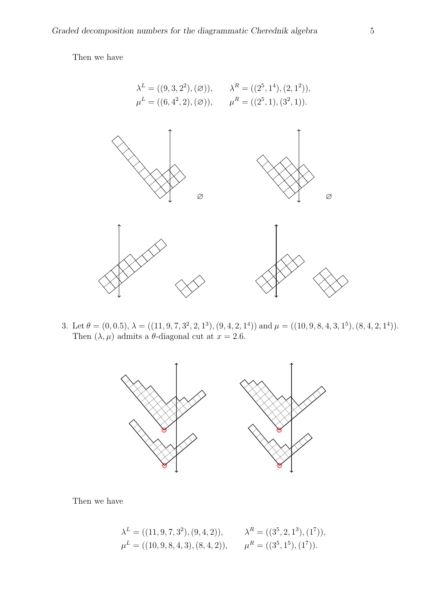Then we have



3. Let  $\theta = (0, 0.5), \lambda = ((11, 9, 7, 3^2, 2, 1^3), (9, 4, 2, 1^4))$  and  $\mu = ((10, 9, 8, 4, 3, 1^5), (8, 4, 2, 1^4)).$ Then  $(\lambda, \mu)$  admits a  $\theta$ -diagonal cut at  $x = 2.6$ .



Then we have

$$
\lambda^{L} = ((11, 9, 7, 3^{2}), (9, 4, 2)), \qquad \lambda^{R} = ((3^{5}, 2, 1^{3}), (1^{7})),
$$
  

$$
\mu^{L} = ((10, 9, 8, 4, 3), (8, 4, 2)), \qquad \mu^{R} = ((3^{5}, 1^{5}), (1^{7})).
$$